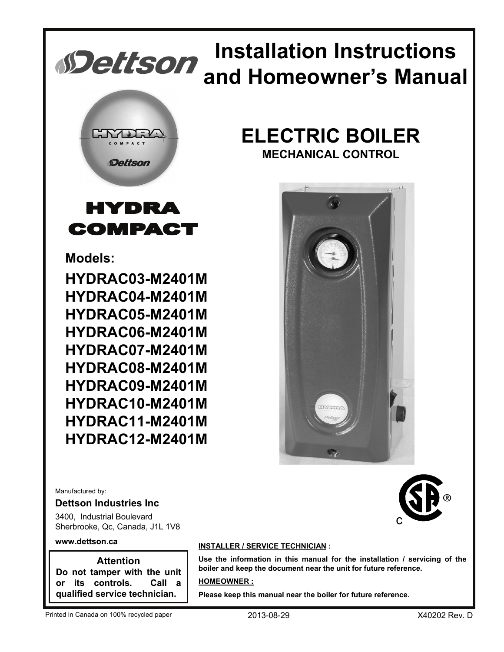

## **HYDRA** COMPACT

**Models:**

**HYDRAC03-M2401M HYDRAC04-M2401M HYDRAC05-M2401M HYDRAC06-M2401M HYDRAC07-M2401M HYDRAC08-M2401M HYDRAC09-M2401M HYDRAC10-M2401M HYDRAC11-M2401M HYDRAC12-M2401M**

Manufactured by:

#### **Dettson Industries Inc**

3400, Industrial Boulevard Sherbrooke, Qc, Canada, J1L 1V8

#### **www.dettson.ca**

**Attention Do not tamper with the unit or its controls. Call a qualified service technician.**

#### **INSTALLER / SERVICE TECHNICIAN :**

**Use the information in this manual for the installation / servicing of the boiler and keep the document near the unit for future reference.**

#### **HOMEOWNER :**

**Please keep this manual near the boiler for future reference.**





# **Installation Instructions and Homeowner's Manual**

## **ELECTRIC BOILER MECHANICAL CONTROL**



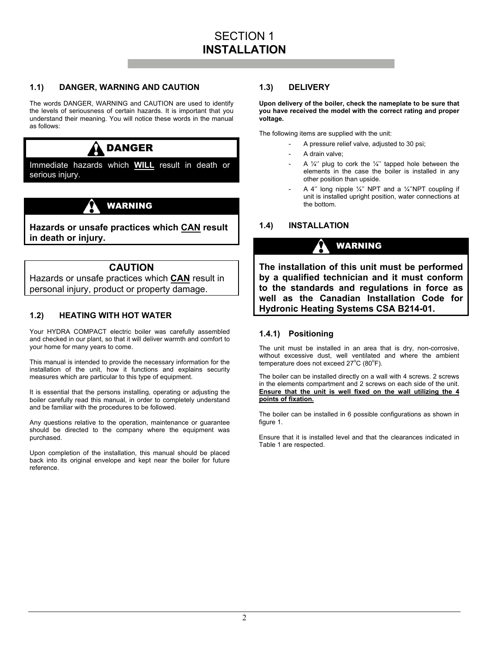#### **1.1) DANGER, WARNING AND CAUTION**

The words DANGER, WARNING and CAUTION are used to identify the levels of seriousness of certain hazards. It is important that you understand their meaning. You will notice these words in the manual as follows:



Immediate hazards which **WILL** result in death or serious injury.

## WARNING

**Hazards or unsafe practices which CAN result in death or injury.** 

#### **CAUTION**

Hazards or unsafe practices which **CAN** result in personal injury, product or property damage.

#### **1.2) HEATING WITH HOT WATER**

Your HYDRA COMPACT electric boiler was carefully assembled and checked in our plant, so that it will deliver warmth and comfort to your home for many years to come.

This manual is intended to provide the necessary information for the installation of the unit, how it functions and explains security measures which are particular to this type of equipment.

It is essential that the persons installing, operating or adjusting the boiler carefully read this manual, in order to completely understand and be familiar with the procedures to be followed.

Any questions relative to the operation, maintenance or guarantee should be directed to the company where the equipment was purchased.

Upon completion of the installation, this manual should be placed back into its original envelope and kept near the boiler for future reference.

#### **1.3) DELIVERY**

**Upon delivery of the boiler, check the nameplate to be sure that you have received the model with the correct rating and proper voltage.** 

The following items are supplied with the unit:

- A pressure relief valve, adjusted to 30 psi;
- A drain valve;
- A  $\frac{1}{4}$ " plug to cork the  $\frac{1}{4}$ " tapped hole between the elements in the case the boiler is installed in any other position than upside.
- A 4" long nipple  $\frac{1}{4}$ " NPT and a  $\frac{1}{4}$ "NPT coupling if unit is installed upright position, water connections at the bottom.

#### **1.4) INSTALLATION**

## WARNING

**The installation of this unit must be performed by a qualified technician and it must conform to the standards and regulations in force as well as the Canadian Installation Code for Hydronic Heating Systems CSA B214-01.** 

#### **1.4.1) Positioning**

The unit must be installed in an area that is dry, non-corrosive, without excessive dust, well ventilated and where the ambient temperature does not exceed  $27^{\circ}$ C (80 $^{\circ}$ F).

The boiler can be installed directly on a wall with 4 screws. 2 screws in the elements compartment and 2 screws on each side of the unit. **Ensure that the unit is well fixed on the wall utilizing the 4 points of fixation.**

The boiler can be installed in 6 possible configurations as shown in figure 1.

Ensure that it is installed level and that the clearances indicated in Table 1 are respected.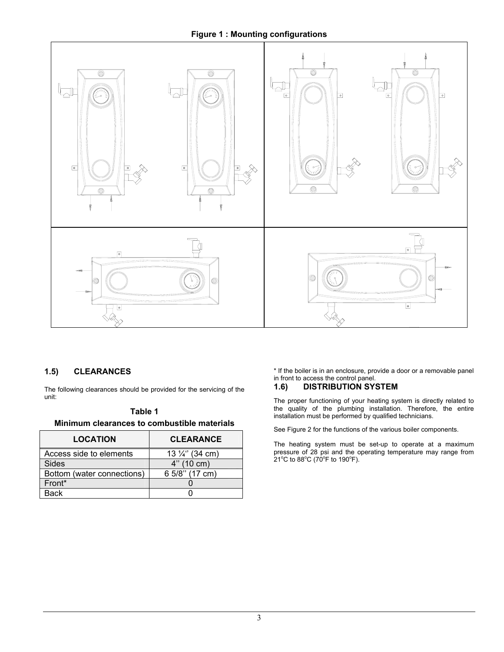#### **Figure 1 : Mounting configurations**



#### **1.5) CLEARANCES**

The following clearances should be provided for the servicing of the unit:

#### **Table 1**

**Minimum clearances to combustible materials** 

| <b>LOCATION</b>            | <b>CLEARANCE</b>           |
|----------------------------|----------------------------|
| Access side to elements    | 13 $\frac{1}{4}$ " (34 cm) |
| <b>Sides</b>               | 4" (10 cm)                 |
| Bottom (water connections) | 6 5/8" (17 cm)             |
| Front*                     |                            |
| Back                       |                            |

\* If the boiler is in an enclosure, provide a door or a removable panel in front to access the control panel.

## **1.6) DISTRIBUTION SYSTEM**

The proper functioning of your heating system is directly related to the quality of the plumbing installation. Therefore, the entire installation must be performed by qualified technicians.

See Figure 2 for the functions of the various boiler components.

The heating system must be set-up to operate at a maximum pressure of 28 psi and the operating temperature may range from<br>21°C to 88°C (70°F to 190°F).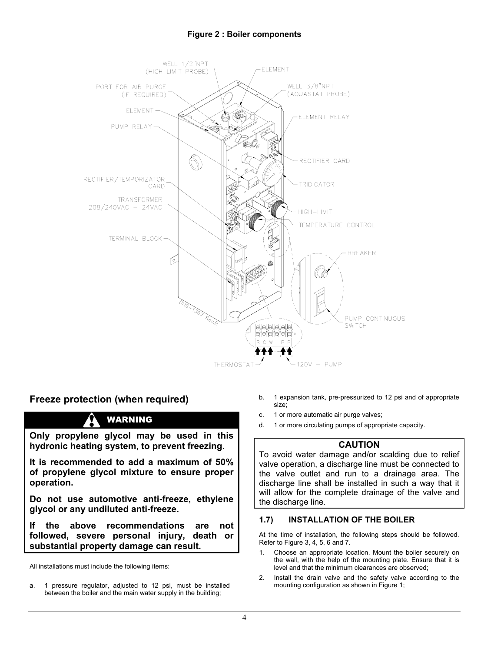#### **Figure 2 : Boiler components**



#### **Freeze protection (when required)**

## WARNING

**Only propylene glycol may be used in this hydronic heating system, to prevent freezing.** 

**It is recommended to add a maximum of 50% of propylene glycol mixture to ensure proper operation.** 

**Do not use automotive anti-freeze, ethylene glycol or any undiluted anti-freeze.** 

**If the above recommendations are not followed, severe personal injury, death or substantial property damage can result.** 

All installations must include the following items:

a. 1 pressure regulator, adjusted to 12 psi, must be installed between the boiler and the main water supply in the building;

- b. 1 expansion tank, pre-pressurized to 12 psi and of appropriate size;
- c. 1 or more automatic air purge valves;
- d. 1 or more circulating pumps of appropriate capacity.

#### **CAUTION**

To avoid water damage and/or scalding due to relief valve operation, a discharge line must be connected to the valve outlet and run to a drainage area. The discharge line shall be installed in such a way that it will allow for the complete drainage of the valve and the discharge line.

#### **1.7) INSTALLATION OF THE BOILER**

At the time of installation, the following steps should be followed. Refer to Figure 3, 4, 5, 6 and 7.

- 1. Choose an appropriate location. Mount the boiler securely on the wall, with the help of the mounting plate. Ensure that it is level and that the minimum clearances are observed;
- 2. Install the drain valve and the safety valve according to the mounting configuration as shown in Figure 1;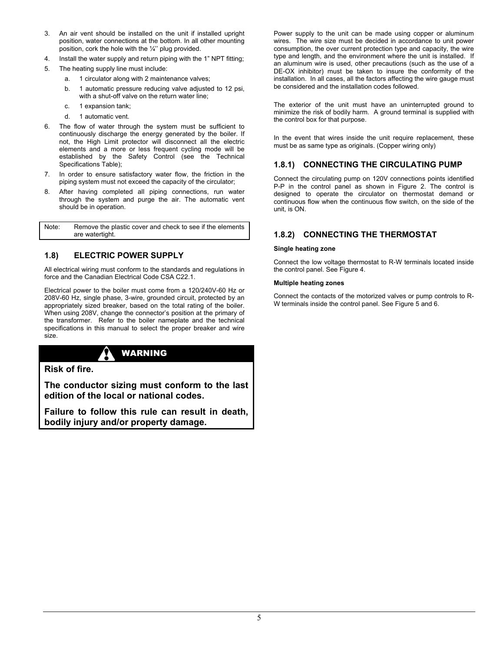- 3. An air vent should be installed on the unit if installed upright position, water connections at the bottom. In all other mounting position, cork the hole with the ¼'' plug provided.
- 4. Install the water supply and return piping with the 1" NPT fitting;
- 5. The heating supply line must include:
	- a. 1 circulator along with 2 maintenance valves;
	- b. 1 automatic pressure reducing valve adjusted to 12 psi, with a shut-off valve on the return water line;
	- c. 1 expansion tank;
	- d. 1 automatic vent.
- The flow of water through the system must be sufficient to continuously discharge the energy generated by the boiler. If not, the High Limit protector will disconnect all the electric elements and a more or less frequent cycling mode will be established by the Safety Control (see the Technical Specifications Table);
- 7. In order to ensure satisfactory water flow, the friction in the piping system must not exceed the capacity of the circulator;
- 8. After having completed all piping connections, run water through the system and purge the air. The automatic vent should be in operation.

Note: Remove the plastic cover and check to see if the elements are watertight.

#### **1.8) ELECTRIC POWER SUPPLY**

All electrical wiring must conform to the standards and regulations in force and the Canadian Electrical Code CSA C22.1.

Electrical power to the boiler must come from a 120/240V-60 Hz or 208V-60 Hz, single phase, 3-wire, grounded circuit, protected by an appropriately sized breaker, based on the total rating of the boiler. When using 208V, change the connector's position at the primary of the transformer. Refer to the boiler nameplate and the technical specifications in this manual to select the proper breaker and wire size.

## WARNING

#### **Risk of fire.**

**The conductor sizing must conform to the last edition of the local or national codes.** 

**Failure to follow this rule can result in death, bodily injury and/or property damage.** 

Power supply to the unit can be made using copper or aluminum wires. The wire size must be decided in accordance to unit power consumption, the over current protection type and capacity, the wire type and length, and the environment where the unit is installed. If an aluminum wire is used, other precautions (such as the use of a DE-OX inhibitor) must be taken to insure the conformity of the installation. In all cases, all the factors affecting the wire gauge must be considered and the installation codes followed.

The exterior of the unit must have an uninterrupted ground to minimize the risk of bodily harm. A ground terminal is supplied with the control box for that purpose.

In the event that wires inside the unit require replacement, these must be as same type as originals. (Copper wiring only)

#### **1.8.1) CONNECTING THE CIRCULATING PUMP**

Connect the circulating pump on 120V connections points identified P-P in the control panel as shown in Figure 2. The control is designed to operate the circulator on thermostat demand or continuous flow when the continuous flow switch, on the side of the unit, is ON.

#### **1.8.2) CONNECTING THE THERMOSTAT**

#### **Single heating zone**

Connect the low voltage thermostat to R-W terminals located inside the control panel. See Figure 4.

#### **Multiple heating zones**

Connect the contacts of the motorized valves or pump controls to R-W terminals inside the control panel. See Figure 5 and 6.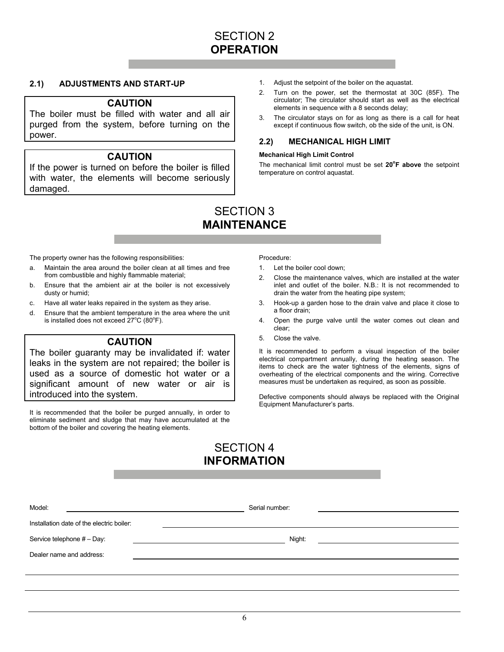## SECTION 2 **OPERATION**

#### **2.1) ADJUSTMENTS AND START-UP**

#### **CAUTION**

The boiler must be filled with water and all air purged from the system, before turning on the power.

#### **CAUTION**

If the power is turned on before the boiler is filled with water, the elements will become seriously damaged.

- 1. Adjust the setpoint of the boiler on the aquastat.
- 2. Turn on the power, set the thermostat at 30C (85F). The circulator; The circulator should start as well as the electrical elements in sequence with a 8 seconds delay;
- 3. The circulator stays on for as long as there is a call for heat except if continuous flow switch, ob the side of the unit, is ON.

#### **2.2) MECHANICAL HIGH LIMIT**

#### **Mechanical High Limit Control**

The mechanical limit control must be set **20<sup>o</sup> F above** the setpoint temperature on control aquastat.

### SECTION 3 **MAINTENANCE**

The property owner has the following responsibilities:

- a. Maintain the area around the boiler clean at all times and free from combustible and highly flammable material;
- b. Ensure that the ambient air at the boiler is not excessively dusty or humid;
- c. Have all water leaks repaired in the system as they arise.
- d. Ensure that the ambient temperature in the area where the unit is installed does not exceed  $27^{\circ}$ C (80 $^{\circ}$ F).

#### **CAUTION**

The boiler guaranty may be invalidated if: water leaks in the system are not repaired; the boiler is used as a source of domestic hot water or a significant amount of new water or air is introduced into the system.

It is recommended that the boiler be purged annually, in order to eliminate sediment and sludge that may have accumulated at the bottom of the boiler and covering the heating elements.

Procedure:

- 1. Let the boiler cool down;
- 2. Close the maintenance valves, which are installed at the water inlet and outlet of the boiler. N.B.: It is not recommended to drain the water from the heating pipe system;
- 3. Hook-up a garden hose to the drain valve and place it close to a floor drain;
- 4. Open the purge valve until the water comes out clean and clear;
- 5. Close the valve.

It is recommended to perform a visual inspection of the boiler electrical compartment annually, during the heating season. The items to check are the water tightness of the elements, signs of overheating of the electrical components and the wiring. Corrective measures must be undertaken as required, as soon as possible.

Defective components should always be replaced with the Original Equipment Manufacturer's parts.

## SECTION 4 **INFORMATION**

| Model:                                    | Serial number: |  |  |  |  |
|-------------------------------------------|----------------|--|--|--|--|
| Installation date of the electric boiler: |                |  |  |  |  |
| Service telephone # - Day:                | Night:         |  |  |  |  |
| Dealer name and address:                  |                |  |  |  |  |
|                                           |                |  |  |  |  |
|                                           |                |  |  |  |  |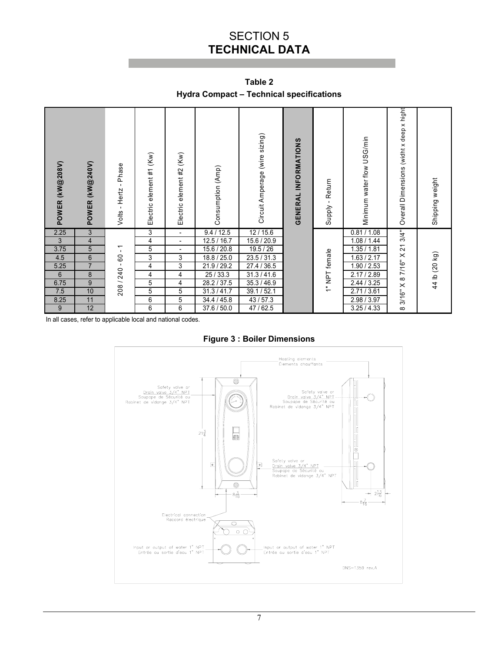## SECTION 5 **TECHNICAL DATA**

**Table 2 Hydra Compact – Technical specifications** 

| POWER (KW@208V) | POWER (KW@240V) | Phase<br>$\mathbf{I}$<br>Hertz<br>$\mathbf{I}$<br>Volts | (Kw)<br>Electric element #1 | (Kw)<br>Electric element #2 | Consumption (Amp) | Circuit Amperage (wire sizing) | <b>GENERAL INFORMATIONS</b> | Return<br>Supply - | Minimum water flow USG/min | Overall Dimensions (widht x deep x hight | Shipping weight |
|-----------------|-----------------|---------------------------------------------------------|-----------------------------|-----------------------------|-------------------|--------------------------------|-----------------------------|--------------------|----------------------------|------------------------------------------|-----------------|
| 2.25            | $\overline{3}$  |                                                         | 3                           | $\overline{\phantom{0}}$    | 9.4 / 12.5        | 12/15.6                        |                             |                    | 0.81 / 1.08                | 3/4"                                     |                 |
| $\sqrt{3}$      | 4               |                                                         | 4                           | $\overline{\phantom{a}}$    | 12.5 / 16.7       | 15.6 / 20.9                    |                             |                    | 1.08 / 1.44                |                                          |                 |
| 3.75            | 5               | $\overline{\phantom{0}}$<br>$\blacksquare$              | 5                           | $\blacksquare$              | 15.6 / 20.8       | 19.5 / 26                      |                             |                    | 1.35 / 1.81                | $\overline{2}$                           |                 |
| 4.5             | 6               | $\overline{6}$                                          | 3                           | 3                           | 18.8 / 25.0       | 23.5 / 31.3                    |                             | 1" NPT female      | 1.63 / 2.17                | 7/16" X                                  |                 |
| 5.25            | $\overline{7}$  | $\mathbf{I}$<br>208 / 240                               | 4                           | 3                           | 21.9 / 29.2       | 27.4 / 36.5                    |                             |                    | 1.90 / 2.53                |                                          |                 |
| 6               | 8               |                                                         | 4                           | 4                           | 25/33.3           | 31.3 / 41.6                    |                             |                    | 2.17/2.89                  | $\infty$                                 | 44 lb (20 kg)   |
| 6.75            | 9               |                                                         | $\overline{5}$              | 4                           | 28.2 / 37.5       | 35.3 / 46.9                    |                             |                    | 2.44 / 3.25                |                                          |                 |
| 7.5             | 10              |                                                         | 5                           | 5                           | 31.3 / 41.7       | 39.1 / 52.1                    |                             |                    | 2.71 / 3.61                |                                          |                 |
| 8.25            | 11              |                                                         | 6                           | 5                           | 34.4 / 45.8       | 43/57.3                        |                             |                    | 2.98 / 3.97                | $3/16"$ X                                |                 |
| 9               | 12              |                                                         | 6                           | 6                           | 37.6 / 50.0       | 47/62.5                        |                             |                    | 3.25/4.33                  | $\infty$                                 |                 |

**Figure 3 : Boiler Dimensions** 

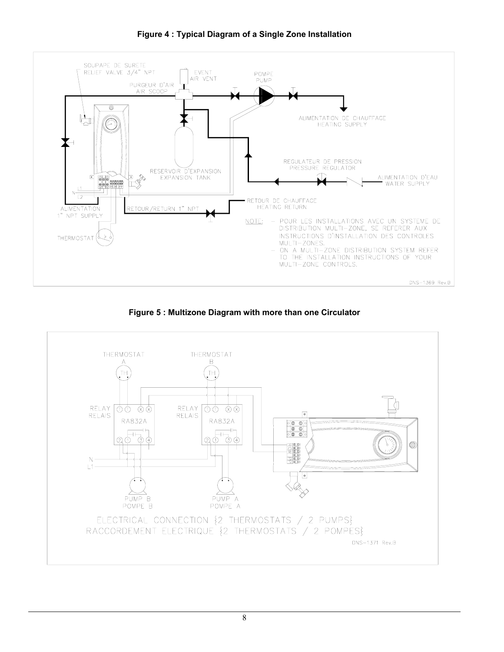

**Figure 4 : Typical Diagram of a Single Zone Installation** 



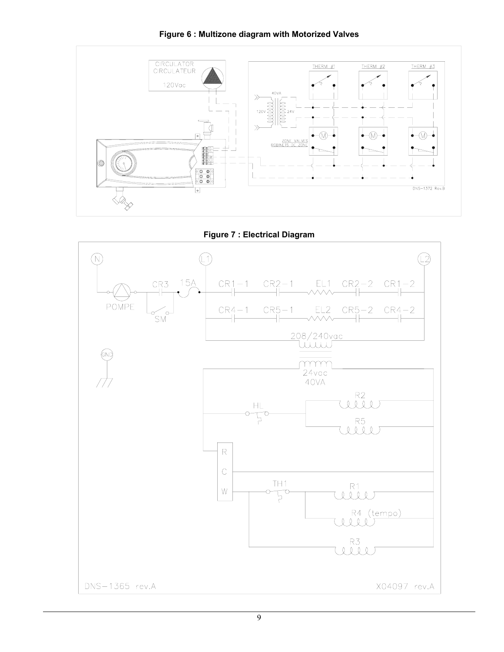



**Figure 7 : Electrical Diagram** 

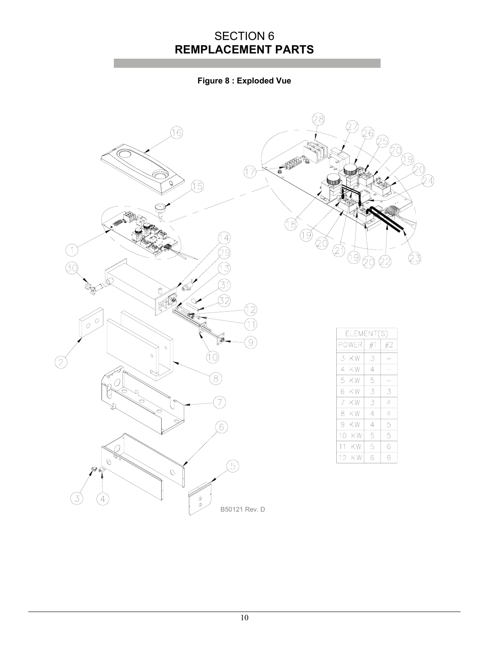## SECTION 6 **REMPLACEMENT PARTS**

**Figure 8 : Exploded Vue**